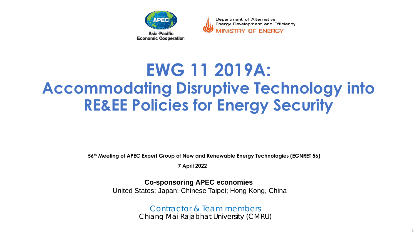

Department of Alternative Energy Development and Efficiency **MINISTRY OF ENERGY** 

# **EWG 11 2019A: Accommodating Disruptive Technology into RE&EE Policies for Energy Security**

**56th Meeting of APEC Expert Group of New and Renewable Energy Technologies (EGNRET 56)** 

**7 April 2022** 

**Co-sponsoring APEC economies** 

United States; Japan; Chinese Taipei; Hong Kong, China

 Contractor & Team members Chiang Mai Rajabhat University (CMRU)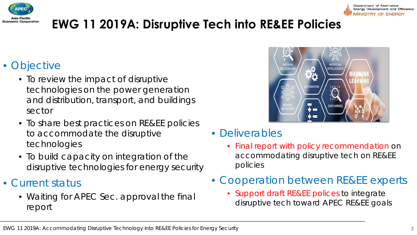

## **EWG 11 2019A: Disruptive Tech into RE&EE Policies**

### • Objective

- To review the impact of disruptive technologies on the power generation and distribution, transport, and buildings sector
- To share best practices on RE&EE policies to accommodate the disruptive technologies
- To build capacity on integration of the disruptive technologies for energy security
- Current status
	- Waiting for APEC Sec. approval the final report



- Deliverables
	- Final report with policy recommendation on accommodating disruptive tech on RE&EE policies
- Cooperation between RE&EE experts
	- Support draft RE&EE polices to integrate disruptive tech toward APEC RE&EE goals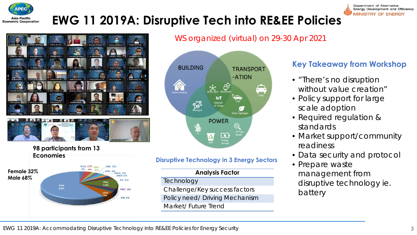







WS organized (virtual) on 29-30 Apr 2021



#### **Disruptive Technology in 3 Energy Sectors**

#### **Analysis Factor**

- **Technology**
- Challenge/Key success factors
- Policy need/ Driving Mechanism
- Market/ Future Trend

#### **Key Takeaway from Workshop**

Department of Alternative Energy Development and Efficiency MINISTRY OF ENERGY

- *"There's no disruption* without value creation"
- Policy support for large scale adoption
- Required regulation & standards
- Market support/community readiness
- Data security and protocol
- Prepare waste management from disruptive technology ie. battery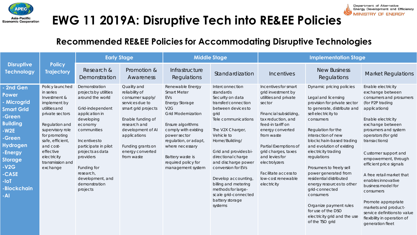

### **EWG 11 2019A: Disruptive Tech into RE&EE Policies**

#### **Recommended RE&EE Policies for Accommodating Disruptive Technologies**

|                                                                                                                                                                                                                                                                                                                                                                                                                                                                   | <b>Early Stage</b>                                                                                                                                                                                                                                                                              |                                                                                                                                                                                                                              | <b>Middle Stage</b>                                                                                                                                                                                                                                                          |                                                                                                                                                                                                                                                                                                                                                                                                        | <b>Implementation Stage</b>                                                                                                                                                                                                                                                                                                          |                                                                                                                                                                                                                                                                                                                                                                                                                                                                                                                                             |                                                                                                                                                                                                                                                                                                                                                                                                                                                                                                                     |
|-------------------------------------------------------------------------------------------------------------------------------------------------------------------------------------------------------------------------------------------------------------------------------------------------------------------------------------------------------------------------------------------------------------------------------------------------------------------|-------------------------------------------------------------------------------------------------------------------------------------------------------------------------------------------------------------------------------------------------------------------------------------------------|------------------------------------------------------------------------------------------------------------------------------------------------------------------------------------------------------------------------------|------------------------------------------------------------------------------------------------------------------------------------------------------------------------------------------------------------------------------------------------------------------------------|--------------------------------------------------------------------------------------------------------------------------------------------------------------------------------------------------------------------------------------------------------------------------------------------------------------------------------------------------------------------------------------------------------|--------------------------------------------------------------------------------------------------------------------------------------------------------------------------------------------------------------------------------------------------------------------------------------------------------------------------------------|---------------------------------------------------------------------------------------------------------------------------------------------------------------------------------------------------------------------------------------------------------------------------------------------------------------------------------------------------------------------------------------------------------------------------------------------------------------------------------------------------------------------------------------------|---------------------------------------------------------------------------------------------------------------------------------------------------------------------------------------------------------------------------------------------------------------------------------------------------------------------------------------------------------------------------------------------------------------------------------------------------------------------------------------------------------------------|
| <b>Policy</b><br><b>Disruptive</b><br><b>Technology</b><br><b>Trajectory</b>                                                                                                                                                                                                                                                                                                                                                                                      | Research &<br>Demonstration                                                                                                                                                                                                                                                                     | Promotion &<br>Awareness                                                                                                                                                                                                     | Infrastructure<br>Regulations                                                                                                                                                                                                                                                | Standardization                                                                                                                                                                                                                                                                                                                                                                                        | Incentives                                                                                                                                                                                                                                                                                                                           | <b>New Business</b><br>Regulations                                                                                                                                                                                                                                                                                                                                                                                                                                                                                                          | <b>Market Regulations</b>                                                                                                                                                                                                                                                                                                                                                                                                                                                                                           |
| Policy launched<br>2nd Gen<br>in series<br>Power<br>Investment &<br>- Microgrid<br>implement by<br>utilities and<br><b>Smart Grid</b><br>private sectors<br>-Green<br><b>Building</b><br>Regulation and<br>supervisory role<br>$-W2E$<br>for promoting<br>-Green<br>safe, efficient,<br><b>Hydrogen</b><br>and cost-<br>effective<br>-Energy<br>electricity<br><b>Storage</b><br>transmission and<br>$-V2G$<br>exchange<br>-CASE<br>$-I$ oT<br>-Blockchain<br>-Al | Demonstration<br>projects by utilities<br>around the world<br>Grid-independent<br>application in<br>developing<br>economy<br>communities<br>Incentives to<br>participate in pilot<br>projects as data<br>providers<br>Funding for<br>research,<br>development, and<br>demonstration<br>projects | Quality and<br>reliability of<br>consumer supply/<br>services due to<br>smart grid projects<br>Enable funding of<br>research and<br>development of Al<br>applications<br>Funding grants on<br>energy converted<br>from waste | Renewable Energy<br><b>Smart Meter</b><br>EVs<br>Energy Storage<br>V2G<br><b>Grid Modernization</b><br>Ensure algorithms<br>comply with existing<br>power sector<br>regulation, or adapt,<br>where necessary<br>Battery waste is<br>required policy for<br>management system | Interconnection<br>standards<br>Security on data<br>transfer/connection<br>between devices to<br>grid<br>Tele communications<br>The V2X Charger,<br>Vehicle to<br>Home/Building/<br>Grid and provides bi-<br>directional charge<br>and discharge power<br>conversion for EVs<br>Develop accounting<br>billing and metering<br>methods for large-<br>scale grid-connected<br>battery storage<br>systems | Incentives for smart<br>grid investment by<br>utilities and private<br>sector<br>Financial subsidizing,<br>tax reduction, and<br>feed-in tariff on<br>energy converted<br>from waste<br>Partial Exemptions of<br>grid charges, taxes<br>and levies for<br>electrolyzers<br>Facilitate access to<br>low-cost renewable<br>electricity | Dynamic pricing policies<br>Legal and licensing<br>provision for private sector<br>to generate, distribute and<br>sell electricity to<br>consumers<br>Regulation for the<br>interaction of new<br>blockchain-based trading<br>and evolution of existing<br>electricity trading<br>regulations<br>Prosumers to freely sell<br>power generated from<br>residential distributed<br>energy resources to other<br>grid-connected<br>consumers<br>Organize payment rules<br>for use of the DSO<br>electricity grid and the use<br>of the TSO grid | Enable electricity<br>exchange between<br>consumers and prosumers<br>(for P2P trading<br>applications)<br>Enable electricity<br>exchange between<br>prosumers and system<br>operators (for grid<br>transactions)<br>Customer support and<br>empowerment, through<br>efficient price signals<br>A free retail market that<br>enables innovative<br>business model for<br>consumers<br>Promote appropriate<br>markets and product-<br>service definitions to value<br>flexibility in operation of<br>generation fleet |

EWG 11 2019A: Accommodating Disruptive Technology into RE&EE Policies for Energy Security **4**